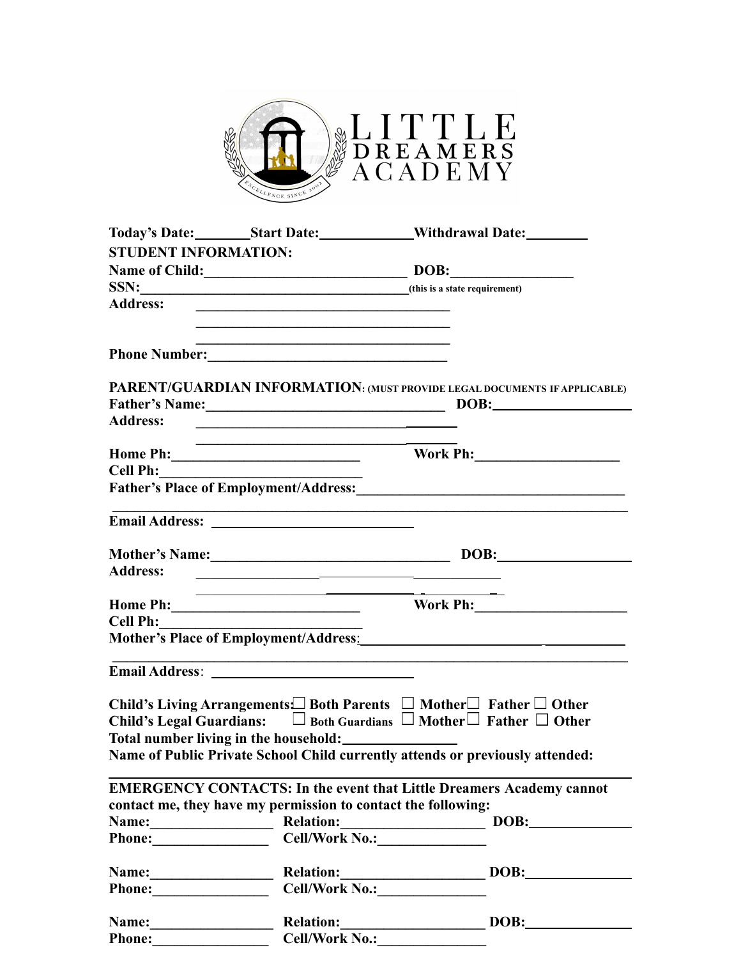

|                             |                                                                                                                        | Today's Date: Start Date: Withdrawal Date:                                                                       |
|-----------------------------|------------------------------------------------------------------------------------------------------------------------|------------------------------------------------------------------------------------------------------------------|
| <b>STUDENT INFORMATION:</b> |                                                                                                                        |                                                                                                                  |
|                             |                                                                                                                        | Name of Child: DOB: DOB:                                                                                         |
|                             |                                                                                                                        | SSN: (this is a state requirement)                                                                               |
| <b>Address:</b>             | <u> 1989 - Andrea Stadt Britain, amerikansk politik (</u>                                                              |                                                                                                                  |
|                             |                                                                                                                        |                                                                                                                  |
|                             |                                                                                                                        |                                                                                                                  |
| <b>Address:</b>             | <u> 1990 - John Stone, Amerikaansk politiker (</u> † 1900)                                                             | PARENT/GUARDIAN INFORMATION: (MUST PROVIDE LEGAL DOCUMENTS IF APPLICABLE)<br>Father's Name: DOB: DOB:            |
|                             | <u> 1989 - Johann Stoff, amerikansk politiker (* 1908)</u>                                                             | <b>Work Ph:_____________________</b>                                                                             |
| Cell Ph:                    |                                                                                                                        |                                                                                                                  |
|                             |                                                                                                                        | Father's Place of Employment/Address: Mathematical Contract of Employment/Address:                               |
|                             |                                                                                                                        | and the control of the control of the control of the control of the control of the control of the control of the |
|                             |                                                                                                                        |                                                                                                                  |
| <b>Address:</b>             | <u> 1990 - Johann John Harry Harry Harry Harry Harry Harry Harry Harry Harry Harry Harry Harry Harry Harry Harry H</u> | Mother's Name: DOB:                                                                                              |
|                             |                                                                                                                        |                                                                                                                  |
|                             |                                                                                                                        |                                                                                                                  |
| Cell Ph:                    |                                                                                                                        |                                                                                                                  |
|                             |                                                                                                                        | Mother's Place of Employment/Address.<br><u>Mother's Place of Employment/Address.</u>                            |
|                             |                                                                                                                        |                                                                                                                  |
|                             |                                                                                                                        | Child's Living Arrangements $\Box$ Both Parents $\Box$ Mother $\Box$ Father $\Box$ Other                         |
|                             |                                                                                                                        | Child's Legal Guardians: $\square$ Both Guardians $\square$ Mother $\square$ Father $\square$ Other              |
|                             | Total number living in the household: __________________                                                               |                                                                                                                  |
|                             |                                                                                                                        | Name of Public Private School Child currently attends or previously attended:                                    |
|                             |                                                                                                                        |                                                                                                                  |
|                             |                                                                                                                        | <b>EMERGENCY CONTACTS: In the event that Little Dreamers Academy cannot</b>                                      |
|                             | contact me, they have my permission to contact the following:                                                          |                                                                                                                  |
|                             |                                                                                                                        | Name: Relation: DOB: News Relation:                                                                              |
|                             | Phone: Cell/Work No.:                                                                                                  |                                                                                                                  |
|                             |                                                                                                                        | Name: Relation: DOB: DOB:                                                                                        |
|                             | Phone: Cell/Work No.: Cell/Work No.:                                                                                   |                                                                                                                  |
|                             |                                                                                                                        | Name: Relation: DOB: News, 2008:                                                                                 |
|                             |                                                                                                                        | Phone: Cell/Work No.: Cell/Work No.:                                                                             |
|                             |                                                                                                                        |                                                                                                                  |